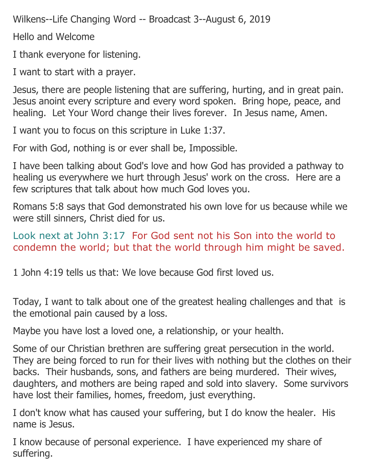Wilkens--Life Changing Word -- Broadcast 3--August 6, 2019

Hello and Welcome

I thank everyone for listening.

I want to start with a prayer.

Jesus, there are people listening that are suffering, hurting, and in great pain. Jesus anoint every scripture and every word spoken. Bring hope, peace, and healing. Let Your Word change their lives forever. In Jesus name, Amen.

I want you to focus on this scripture in Luke 1:37.

For with God, nothing is or ever shall be, Impossible.

I have been talking about God's love and how God has provided a pathway to healing us everywhere we hurt through Jesus' work on the cross. Here are a few scriptures that talk about how much God loves you.

Romans 5:8 says that God demonstrated his own love for us because while we were still sinners, Christ died for us.

Look next at John 3:17 For God sent not his Son into the world to condemn the world; but that the world through him might be saved.

1 John 4:19 tells us that: We love because God first loved us.

Today, I want to talk about one of the greatest healing challenges and that is the emotional pain caused by a loss.

Maybe you have lost a loved one, a relationship, or your health.

Some of our Christian brethren are suffering great persecution in the world. They are being forced to run for their lives with nothing but the clothes on their backs. Their husbands, sons, and fathers are being murdered. Their wives, daughters, and mothers are being raped and sold into slavery. Some survivors have lost their families, homes, freedom, just everything.

I don't know what has caused your suffering, but I do know the healer. His name is Jesus.

I know because of personal experience. I have experienced my share of suffering.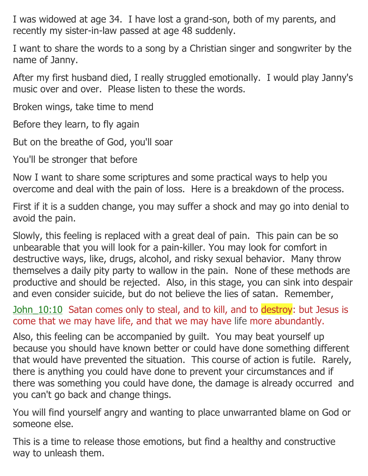I was widowed at age 34. I have lost a grand-son, both of my parents, and recently my sister-in-law passed at age 48 suddenly.

I want to share the words to a song by a Christian singer and songwriter by the name of Janny.

After my first husband died, I really struggled emotionally. I would play Janny's music over and over. Please listen to these the words.

Broken wings, take time to mend

Before they learn, to fly again

But on the breathe of God, you'll soar

You'll be stronger that before

Now I want to share some scriptures and some practical ways to help you overcome and deal with the pain of loss. Here is a breakdown of the process.

First if it is a sudden change, you may suffer a shock and may go into denial to avoid the pain.

Slowly, this feeling is replaced with a great deal of pain. This pain can be so unbearable that you will look for a pain-killer. You may look for comfort in destructive ways, like, drugs, alcohol, and risky sexual behavior. Many throw themselves a daily pity party to wallow in the pain. None of these methods are productive and should be rejected. Also, in this stage, you can sink into despair and even consider suicide, but do not believe the lies of satan. Remember,

John 10:10 Satan comes only to steal, and to kill, and to destroy: but Jesus is come that we may have life, and that we may have life more abundantly.

Also, this feeling can be accompanied by guilt. You may beat yourself up because you should have known better or could have done something different that would have prevented the situation. This course of action is futile. Rarely, there is anything you could have done to prevent your circumstances and if there was something you could have done, the damage is already occurred and you can't go back and change things.

You will find yourself angry and wanting to place unwarranted blame on God or someone else.

This is a time to release those emotions, but find a healthy and constructive way to unleash them.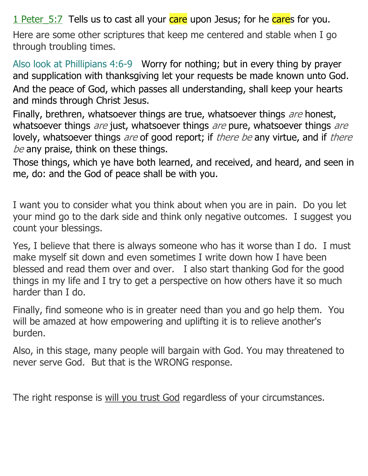1 Peter 5:7 Tells us to cast all your care upon Jesus; for he cares for you.

Here are some other scriptures that keep me centered and stable when I go through troubling times.

Also look at Phillipians 4:6-9 Worry for nothing; but in every thing by prayer and supplication with thanksgiving let your requests be made known unto God. And the peace of God, which passes all understanding, shall keep your hearts and minds through Christ Jesus.

Finally, brethren, whatsoever things are true, whatsoever things are honest, whatsoever things are just, whatsoever things are pure, whatsoever things are lovely, whatsoever things are of good report; if there be any virtue, and if there be any praise, think on these things.

Those things, which ye have both learned, and received, and heard, and seen in me, do: and the God of peace shall be with you.

I want you to consider what you think about when you are in pain. Do you let your mind go to the dark side and think only negative outcomes. I suggest you count your blessings.

Yes, I believe that there is always someone who has it worse than I do. I must make myself sit down and even sometimes I write down how I have been blessed and read them over and over. I also start thanking God for the good things in my life and I try to get a perspective on how others have it so much harder than I do.

Finally, find someone who is in greater need than you and go help them. You will be amazed at how empowering and uplifting it is to relieve another's burden.

Also, in this stage, many people will bargain with God. You may threatened to never serve God. But that is the WRONG response.

The right response is will you trust God regardless of your circumstances.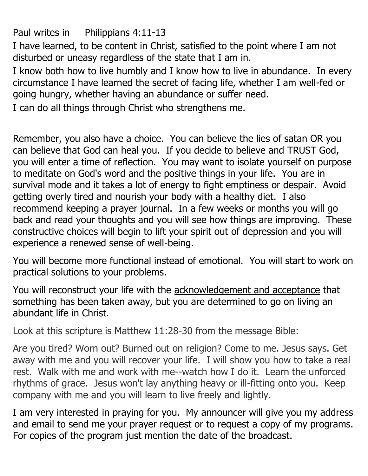Paul writes in Philippians 4:11-13

I have learned, to be content in Christ, satisfied to the point where I am not disturbed or uneasy regardless of the state that I am in.

I know both how to live humbly and I know how to live in abundance. In every circumstance I have learned the secret of facing life, whether I am well-fed or going hungry, whether having an abundance or suffer need.

I can do all things through Christ who strengthens me.

Remember, you also have a choice. You can believe the lies of satan OR you can believe that God can heal you. If you decide to believe and TRUST God, you will enter a time of reflection. You may want to isolate yourself on purpose to meditate on God's word and the positive things in your life. You are in survival mode and it takes a lot of energy to fight emptiness or despair. Avoid getting overly tired and nourish your body with a healthy diet. I also recommend keeping a prayer journal. In a few weeks or months you will go back and read your thoughts and you will see how things are improving. These constructive choices will begin to lift your spirit out of depression and you will experience a renewed sense of well-being.

You will become more functional instead of emotional. You will start to work on practical solutions to your problems.

You will reconstruct your life with the acknowledgement and acceptance that something has been taken away, but you are determined to go on living an abundant life in Christ.

Look at this scripture is Matthew 11:28-30 from the message Bible:

Are you tired? Worn out? Burned out on religion? Come to me. Jesus says. Get away with me and you will recover your life. I will show you how to take a real rest. Walk with me and work with me--watch how I do it. Learn the unforced rhythms of grace. Jesus won't lay anything heavy or ill-fitting onto you. Keep company with me and you will learn to live freely and lightly.

I am very interested in praying for you. My announcer will give you my address and email to send me your prayer request or to request a copy of my programs. For copies of the program just mention the date of the broadcast.